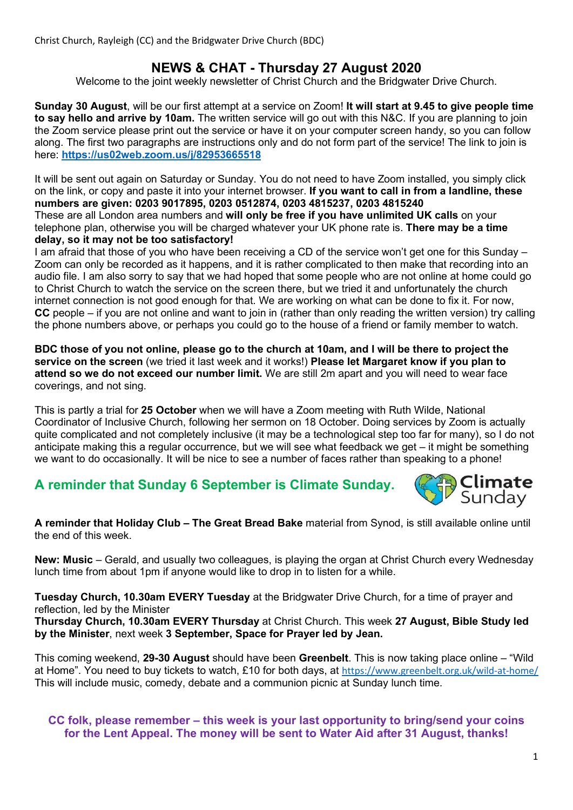# NEWS & CHAT - Thursday 27 August 2020

Welcome to the joint weekly newsletter of Christ Church and the Bridgwater Drive Church.

Sunday 30 August, will be our first attempt at a service on Zoom! It will start at 9.45 to give people time to say hello and arrive by 10am. The written service will go out with this N&C. If you are planning to join the Zoom service please print out the service or have it on your computer screen handy, so you can follow along. The first two paragraphs are instructions only and do not form part of the service! The link to join is here: https://us02web.zoom.us/j/82953665518

It will be sent out again on Saturday or Sunday. You do not need to have Zoom installed, you simply click on the link, or copy and paste it into your internet browser. If you want to call in from a landline, these numbers are given: 0203 9017895, 0203 0512874, 0203 4815237, 0203 4815240 These are all London area numbers and will only be free if you have unlimited UK calls on your telephone plan, otherwise you will be charged whatever your UK phone rate is. There may be a time delay, so it may not be too satisfactory!

I am afraid that those of you who have been receiving a CD of the service won't get one for this Sunday – Zoom can only be recorded as it happens, and it is rather complicated to then make that recording into an audio file. I am also sorry to say that we had hoped that some people who are not online at home could go to Christ Church to watch the service on the screen there, but we tried it and unfortunately the church internet connection is not good enough for that. We are working on what can be done to fix it. For now, CC people – if you are not online and want to join in (rather than only reading the written version) try calling the phone numbers above, or perhaps you could go to the house of a friend or family member to watch.

BDC those of you not online, please go to the church at 10am, and I will be there to project the service on the screen (we tried it last week and it works!) Please let Margaret know if you plan to attend so we do not exceed our number limit. We are still 2m apart and you will need to wear face coverings, and not sing.

This is partly a trial for 25 October when we will have a Zoom meeting with Ruth Wilde, National Coordinator of Inclusive Church, following her sermon on 18 October. Doing services by Zoom is actually quite complicated and not completely inclusive (it may be a technological step too far for many), so I do not anticipate making this a regular occurrence, but we will see what feedback we get – it might be something we want to do occasionally. It will be nice to see a number of faces rather than speaking to a phone!

# A reminder that Sunday 6 September is Climate Sunday.



A reminder that Holiday Club – The Great Bread Bake material from Synod, is still available online until the end of this week.

New: Music – Gerald, and usually two colleagues, is playing the organ at Christ Church every Wednesday lunch time from about 1pm if anyone would like to drop in to listen for a while.

Tuesday Church, 10.30am EVERY Tuesday at the Bridgwater Drive Church, for a time of prayer and reflection, led by the Minister

Thursday Church, 10.30am EVERY Thursday at Christ Church. This week 27 August, Bible Study led by the Minister, next week 3 September, Space for Prayer led by Jean.

This coming weekend, 29-30 August should have been Greenbelt. This is now taking place online – "Wild" at Home". You need to buy tickets to watch, £10 for both days, at https://www.greenbelt.org.uk/wild-at-home/ This will include music, comedy, debate and a communion picnic at Sunday lunch time.

#### CC folk, please remember – this week is your last opportunity to bring/send your coins for the Lent Appeal. The money will be sent to Water Aid after 31 August, thanks!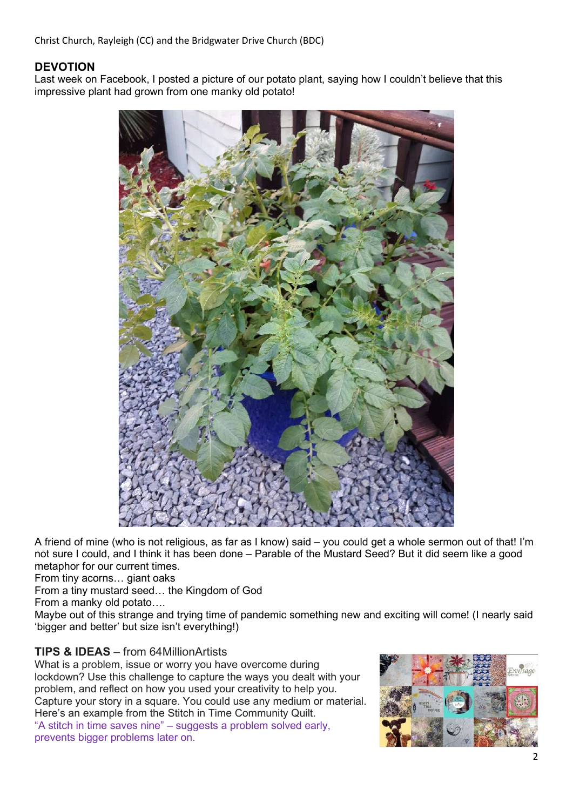Christ Church, Rayleigh (CC) and the Bridgwater Drive Church (BDC)

### DEVOTION

Last week on Facebook, I posted a picture of our potato plant, saying how I couldn't believe that this impressive plant had grown from one manky old potato!



A friend of mine (who is not religious, as far as I know) said – you could get a whole sermon out of that! I'm not sure I could, and I think it has been done – Parable of the Mustard Seed? But it did seem like a good metaphor for our current times.

From tiny acorns… giant oaks

From a tiny mustard seed… the Kingdom of God

From a manky old potato….

Maybe out of this strange and trying time of pandemic something new and exciting will come! (I nearly said 'bigger and better' but size isn't everything!)

### TIPS & IDEAS – from 64MillionArtists

What is a problem, issue or worry you have overcome during lockdown? Use this challenge to capture the ways you dealt with your problem, and reflect on how you used your creativity to help you. Capture your story in a square. You could use any medium or material. Here's an example from the Stitch in Time Community Quilt. "A stitch in time saves nine" – suggests a problem solved early, prevents bigger problems later on.

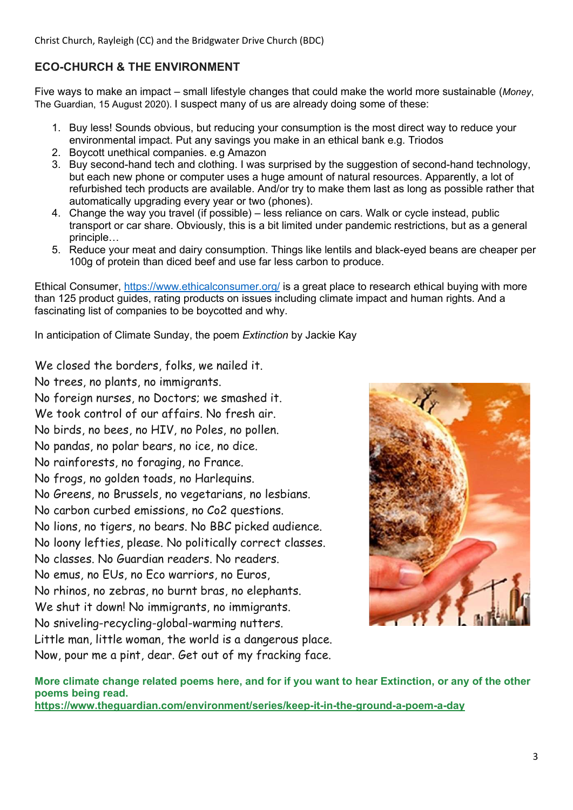Christ Church, Rayleigh (CC) and the Bridgwater Drive Church (BDC)

## ECO-CHURCH & THE ENVIRONMENT

Five ways to make an impact – small lifestyle changes that could make the world more sustainable (Money, The Guardian, 15 August 2020). I suspect many of us are already doing some of these:

- 1. Buy less! Sounds obvious, but reducing your consumption is the most direct way to reduce your environmental impact. Put any savings you make in an ethical bank e.g. Triodos
- 2. Boycott unethical companies. e.g Amazon
- 3. Buy second-hand tech and clothing. I was surprised by the suggestion of second-hand technology, but each new phone or computer uses a huge amount of natural resources. Apparently, a lot of refurbished tech products are available. And/or try to make them last as long as possible rather that automatically upgrading every year or two (phones).
- 4. Change the way you travel (if possible) less reliance on cars. Walk or cycle instead, public transport or car share. Obviously, this is a bit limited under pandemic restrictions, but as a general principle…
- 5. Reduce your meat and dairy consumption. Things like lentils and black-eyed beans are cheaper per 100g of protein than diced beef and use far less carbon to produce.

Ethical Consumer, https://www.ethicalconsumer.org/ is a great place to research ethical buying with more than 125 product guides, rating products on issues including climate impact and human rights. And a fascinating list of companies to be boycotted and why.

In anticipation of Climate Sunday, the poem Extinction by Jackie Kay

We closed the borders, folks, we nailed it.

No trees, no plants, no immigrants. No foreign nurses, no Doctors; we smashed it. We took control of our affairs. No fresh air. No birds, no bees, no HIV, no Poles, no pollen. No pandas, no polar bears, no ice, no dice. No rainforests, no foraging, no France. No frogs, no golden toads, no Harlequins. No Greens, no Brussels, no vegetarians, no lesbians. No carbon curbed emissions, no Co2 questions. No lions, no tigers, no bears. No BBC picked audience. No loony lefties, please. No politically correct classes. No classes. No Guardian readers. No readers. No emus, no EUs, no Eco warriors, no Euros, No rhinos, no zebras, no burnt bras, no elephants. We shut it down! No immigrants, no immigrants. No sniveling-recycling-global-warming nutters. Little man, little woman, the world is a dangerous place. Now, pour me a pint, dear. Get out of my fracking face.



More climate change related poems here, and for if you want to hear Extinction, or any of the other poems being read.

https://www.theguardian.com/environment/series/keep-it-in-the-ground-a-poem-a-day